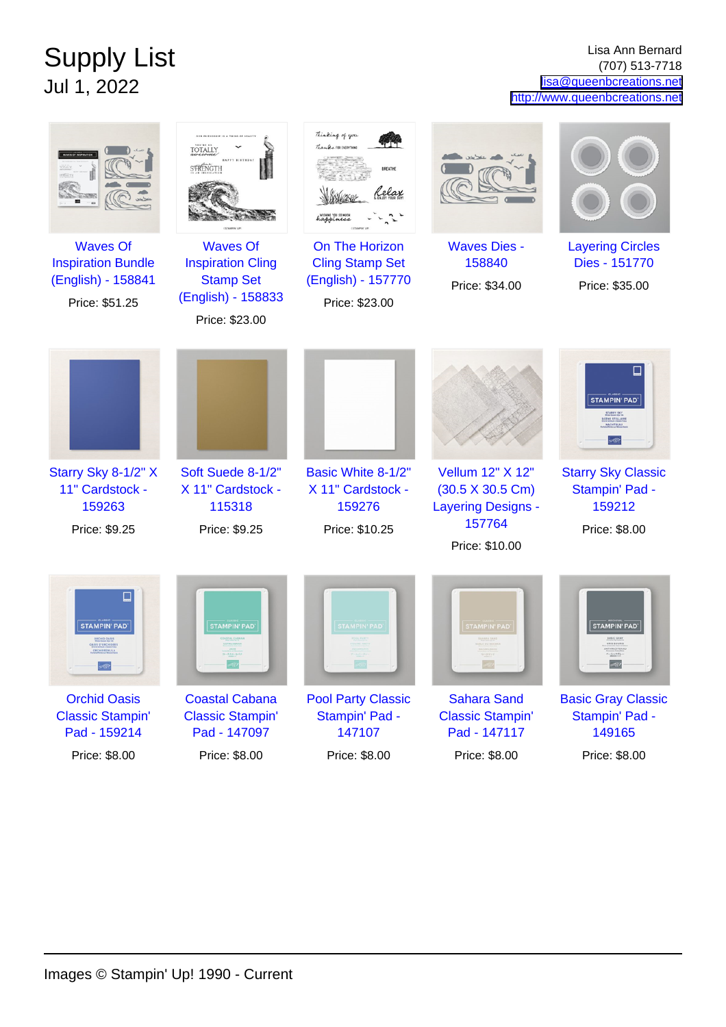## Supply List Jul 1, 2022

Lisa Ann Bernard (707) 513-7718 [lisa@queenbcreations.net](mailto:lisa@queenbcreations.net) <http://www.queenbcreations.net>

| Thinking of you<br>OUR FRIENDSHIP IS A THING OF REAUT<br>Thanks 102 IVIRYTI<br><b>TOTALLY</b><br>STRENGTH<br><b>BREATHE</b><br>lelax<br><b>Waves Of</b><br><b>Waves Of</b><br>On The Horizon<br><b>Waves Dies -</b><br><b>Layering Circles</b><br><b>Inspiration Bundle</b><br><b>Inspiration Cling</b><br><b>Cling Stamp Set</b><br>158840<br>Dies - 151770<br>(English) - 158841<br><b>Stamp Set</b><br>(English) - 157770<br>Price: \$34.00<br>Price: \$35.00<br>(English) - 158833<br>Price: \$51.25<br>Price: \$23.00<br>Price: \$23.00<br><b>STAMPIN' PAD</b><br>Starry Sky 8-1/2" X<br>Soft Suede 8-1/2"<br>Basic White 8-1/2"<br>Vellum 12" X 12"<br><b>Starry Sky Classic</b><br>11" Cardstock -<br>X 11" Cardstock -<br>X 11" Cardstock -<br>Stampin' Pad -<br>$(30.5 \times 30.5 \text{ Cm})$<br>115318<br>159212<br>159263<br>159276<br><b>Layering Designs -</b><br>157764<br>Price: \$9.25<br>Price: \$9.25<br>Price: \$10.25<br>Price: \$8.00<br>Price: \$10.00<br><b>STAMPIN' PAD</b><br><b>STAMPIN' PAD</b><br><b>STAMPIN' PAD</b><br><b>STAMPIN' PAD</b><br><b>STAMPIN' PAD</b><br><b>Orchid Oasis</b><br><b>Coastal Cabana</b><br><b>Pool Party Classic</b><br><b>Sahara Sand</b><br><b>Basic Gray Classic</b><br><b>Classic Stampin'</b><br><b>Classic Stampin'</b><br>Stampin' Pad -<br><b>Classic Stampin'</b><br>Stampin' Pad -<br>147107<br>Pad - 159214<br>Pad - 147097<br>Pad - 147117<br>149165 |               |               |               |               |               |
|----------------------------------------------------------------------------------------------------------------------------------------------------------------------------------------------------------------------------------------------------------------------------------------------------------------------------------------------------------------------------------------------------------------------------------------------------------------------------------------------------------------------------------------------------------------------------------------------------------------------------------------------------------------------------------------------------------------------------------------------------------------------------------------------------------------------------------------------------------------------------------------------------------------------------------------------------------------------------------------------------------------------------------------------------------------------------------------------------------------------------------------------------------------------------------------------------------------------------------------------------------------------------------------------------------------------------------------------------------------------------------------------------------------------------|---------------|---------------|---------------|---------------|---------------|
|                                                                                                                                                                                                                                                                                                                                                                                                                                                                                                                                                                                                                                                                                                                                                                                                                                                                                                                                                                                                                                                                                                                                                                                                                                                                                                                                                                                                                            |               |               |               |               |               |
|                                                                                                                                                                                                                                                                                                                                                                                                                                                                                                                                                                                                                                                                                                                                                                                                                                                                                                                                                                                                                                                                                                                                                                                                                                                                                                                                                                                                                            |               |               |               |               |               |
|                                                                                                                                                                                                                                                                                                                                                                                                                                                                                                                                                                                                                                                                                                                                                                                                                                                                                                                                                                                                                                                                                                                                                                                                                                                                                                                                                                                                                            |               |               |               |               |               |
|                                                                                                                                                                                                                                                                                                                                                                                                                                                                                                                                                                                                                                                                                                                                                                                                                                                                                                                                                                                                                                                                                                                                                                                                                                                                                                                                                                                                                            |               |               |               |               |               |
|                                                                                                                                                                                                                                                                                                                                                                                                                                                                                                                                                                                                                                                                                                                                                                                                                                                                                                                                                                                                                                                                                                                                                                                                                                                                                                                                                                                                                            |               |               |               |               |               |
|                                                                                                                                                                                                                                                                                                                                                                                                                                                                                                                                                                                                                                                                                                                                                                                                                                                                                                                                                                                                                                                                                                                                                                                                                                                                                                                                                                                                                            |               |               |               |               |               |
|                                                                                                                                                                                                                                                                                                                                                                                                                                                                                                                                                                                                                                                                                                                                                                                                                                                                                                                                                                                                                                                                                                                                                                                                                                                                                                                                                                                                                            |               |               |               |               |               |
|                                                                                                                                                                                                                                                                                                                                                                                                                                                                                                                                                                                                                                                                                                                                                                                                                                                                                                                                                                                                                                                                                                                                                                                                                                                                                                                                                                                                                            |               |               |               |               |               |
|                                                                                                                                                                                                                                                                                                                                                                                                                                                                                                                                                                                                                                                                                                                                                                                                                                                                                                                                                                                                                                                                                                                                                                                                                                                                                                                                                                                                                            | Price: \$8.00 | Price: \$8.00 | Price: \$8.00 | Price: \$8.00 | Price: \$8.00 |